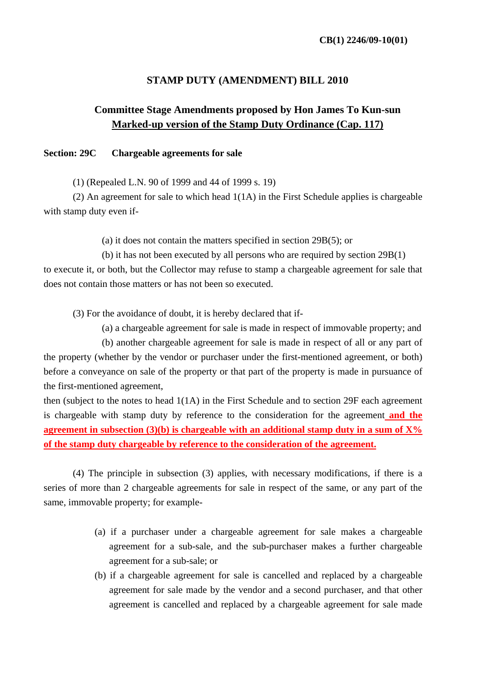# **STAMP DUTY (AMENDMENT) BILL 2010**

# **Committee Stage Amendments proposed by Hon James To Kun-sun Marked-up version of the Stamp Duty Ordinance (Cap. 117)**

#### **Section: 29C Chargeable agreements for sale**

(1) (Repealed L.N. 90 of 1999 and 44 of 1999 s. 19)

(2) An agreement for sale to which head 1(1A) in the First Schedule applies is chargeable with stamp duty even if-

(a) it does not contain the matters specified in section 29B(5); or

(b) it has not been executed by all persons who are required by section 29B(1) to execute it, or both, but the Collector may refuse to stamp a chargeable agreement for sale that does not contain those matters or has not been so executed.

(3) For the avoidance of doubt, it is hereby declared that if-

(a) a chargeable agreement for sale is made in respect of immovable property; and

(b) another chargeable agreement for sale is made in respect of all or any part of the property (whether by the vendor or purchaser under the first-mentioned agreement, or both) before a conveyance on sale of the property or that part of the property is made in pursuance of the first-mentioned agreement,

then (subject to the notes to head 1(1A) in the First Schedule and to section 29F each agreement is chargeable with stamp duty by reference to the consideration for the agreement **and the agreement in subsection (3)(b) is chargeable with an additional stamp duty in a sum of**  $X\%$ **of the stamp duty chargeable by reference to the consideration of the agreement.**

(4) The principle in subsection (3) applies, with necessary modifications, if there is a series of more than 2 chargeable agreements for sale in respect of the same, or any part of the same, immovable property; for example-

- (a) if a purchaser under a chargeable agreement for sale makes a chargeable agreement for a sub-sale, and the sub-purchaser makes a further chargeable agreement for a sub-sale; or
- (b) if a chargeable agreement for sale is cancelled and replaced by a chargeable agreement for sale made by the vendor and a second purchaser, and that other agreement is cancelled and replaced by a chargeable agreement for sale made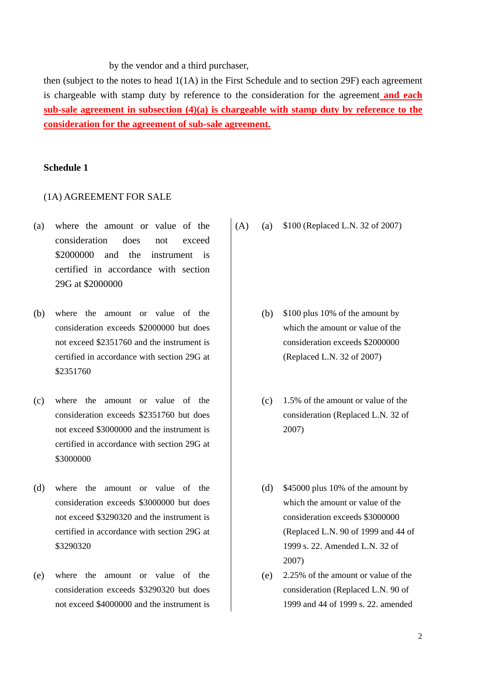by the vendor and a third purchaser,

then (subject to the notes to head 1(1A) in the First Schedule and to section 29F) each agreement is chargeable with stamp duty by reference to the consideration for the agreement **and each sub-sale agreement in subsection (4)(a) is chargeable with stamp duty by reference to the consideration for the agreement of sub-sale agreement.**

# **Schedule 1**

#### (1A) AGREEMENT FOR SALE

- (a) where the amount or value of the consideration does not exceed \$2000000 and the instrument is certified in accordance with section 29G at \$2000000
- (b) where the amount or value of the consideration exceeds \$2000000 but does not exceed \$2351760 and the instrument is certified in accordance with section 29G at \$2351760
- (c) where the amount or value of the consideration exceeds \$2351760 but does not exceed \$3000000 and the instrument is certified in accordance with section 29G at \$3000000
- (d) where the amount or value of the consideration exceeds \$3000000 but does not exceed \$3290320 and the instrument is certified in accordance with section 29G at \$3290320
- (e) where the amount or value of the consideration exceeds \$3290320 but does not exceed \$4000000 and the instrument is

(A) (a) \$100 (Replaced L.N. 32 of 2007)

- (b) \$100 plus 10% of the amount by which the amount or value of the consideration exceeds \$2000000 (Replaced L.N. 32 of 2007)
- (c) 1.5% of the amount or value of the consideration (Replaced L.N. 32 of 2007)
- (d) \$45000 plus 10% of the amount by which the amount or value of the consideration exceeds \$3000000 (Replaced L.N. 90 of 1999 and 44 of 1999 s. 22. Amended L.N. 32 of 2007)
- (e) 2.25% of the amount or value of the consideration (Replaced L.N. 90 of 1999 and 44 of 1999 s. 22. amended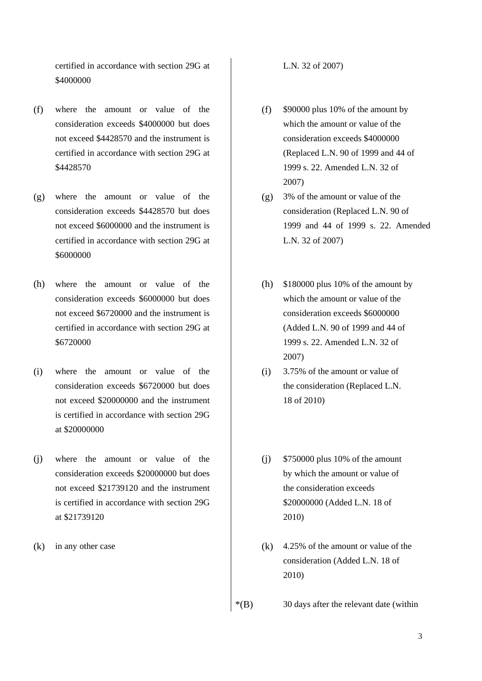certified in accordance with section 29G at \$4000000

- (f) where the amount or value of the consideration exceeds \$4000000 but does not exceed \$4428570 and the instrument is certified in accordance with section 29G at \$4428570
- (g) where the amount or value of the consideration exceeds \$4428570 but does not exceed \$6000000 and the instrument is certified in accordance with section 29G at \$6000000
- (h) where the amount or value of the consideration exceeds \$6000000 but does not exceed \$6720000 and the instrument is certified in accordance with section 29G at \$6720000
- (i) where the amount or value of the consideration exceeds \$6720000 but does not exceed \$20000000 and the instrument is certified in accordance with section 29G at \$20000000
- (j) where the amount or value of the consideration exceeds \$20000000 but does not exceed \$21739120 and the instrument is certified in accordance with section 29G at \$21739120
- 

L.N. 32 of 2007)

- (f) \$90000 plus 10% of the amount by which the amount or value of the consideration exceeds \$4000000 (Replaced L.N. 90 of 1999 and 44 of 1999 s. 22. Amended L.N. 32 of 2007)
- (g) 3% of the amount or value of the consideration (Replaced L.N. 90 of 1999 and 44 of 1999 s. 22. Amended L.N. 32 of 2007)
- (h) \$180000 plus 10% of the amount by which the amount or value of the consideration exceeds \$6000000 (Added L.N. 90 of 1999 and 44 of 1999 s. 22. Amended L.N. 32 of 2007)
- (i) 3.75% of the amount or value of the consideration (Replaced L.N. 18 of 2010)
- (j) \$750000 plus 10% of the amount by which the amount or value of the consideration exceeds \$20000000 (Added L.N. 18 of 2010)
- (k) in any other case  $(k)$  4.25% of the amount or value of the consideration (Added L.N. 18 of 2010)
	- \*(B) 30 days after the relevant date (within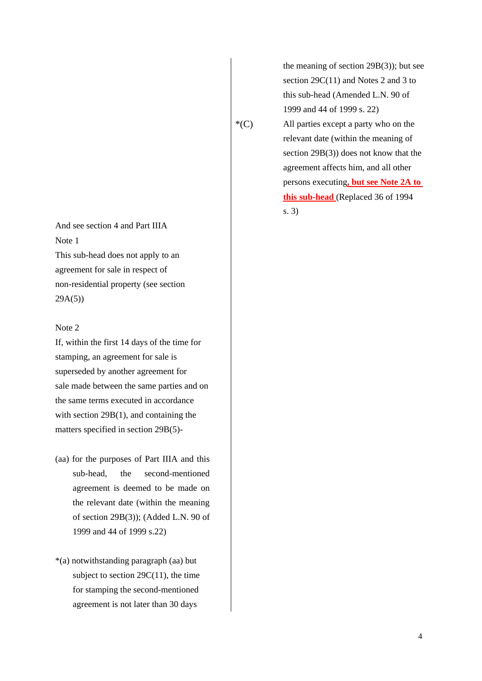the meaning of section 29B(3)); but see section 29C(11) and Notes 2 and 3 to this sub-head (Amended L.N. 90 of 1999 and 44 of 1999 s. 22)

And see section 4 and Part IIIA Note 1 This sub-head does not apply to an agreement for sale in respect of non-residential property (see section 29A(5))

### Note 2

If, within the first 14 days of the time for stamping, an agreement for sale is superseded by another agreement for sale made between the same parties and on the same terms executed in accordance with section 29B(1), and containing the matters specified in section 29B(5)-

- (aa) for the purposes of Part IIIA and this sub-head, the second-mentioned agreement is deemed to be made on the relevant date (within the meaning of section 29B(3)); (Added L.N. 90 of 1999 and 44 of 1999 s.22)
- \*(a) notwithstanding paragraph (aa) but subject to section 29C(11), the time for stamping the second-mentioned agreement is not later than 30 days

 \*(C) All parties except a party who on the relevant date (within the meaning of section 29B(3)) does not know that the agreement affects him, and all other persons executing**, but see Note 2A to this sub-head** (Replaced 36 of 1994 s. 3)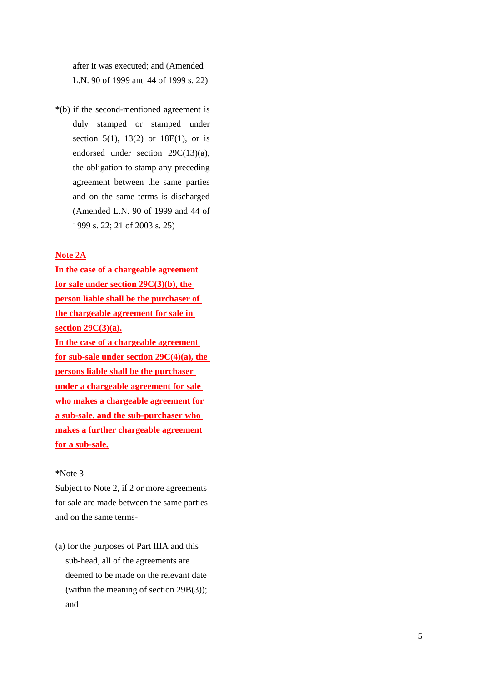after it was executed; and (Amended L.N. 90 of 1999 and 44 of 1999 s. 22)

\*(b) if the second-mentioned agreement is duly stamped or stamped under section 5(1), 13(2) or 18E(1), or is endorsed under section 29C(13)(a), the obligation to stamp any preceding agreement between the same parties and on the same terms is discharged (Amended L.N. 90 of 1999 and 44 of 1999 s. 22; 21 of 2003 s. 25)

#### **Note 2A**

**In the case of a chargeable agreement for sale under section 29C(3)(b), the person liable shall be the purchaser of the chargeable agreement for sale in section 29C(3)(a). In the case of a chargeable agreement for sub-sale under section 29C(4)(a), the persons liable shall be the purchaser under a chargeable agreement for sale who makes a chargeable agreement for a sub-sale, and the sub-purchaser who makes a further chargeable agreement for a sub-sale.**

### \*Note 3

Subject to Note 2, if 2 or more agreements for sale are made between the same parties and on the same terms-

(a) for the purposes of Part IIIA and this sub-head, all of the agreements are deemed to be made on the relevant date (within the meaning of section 29B(3)); and